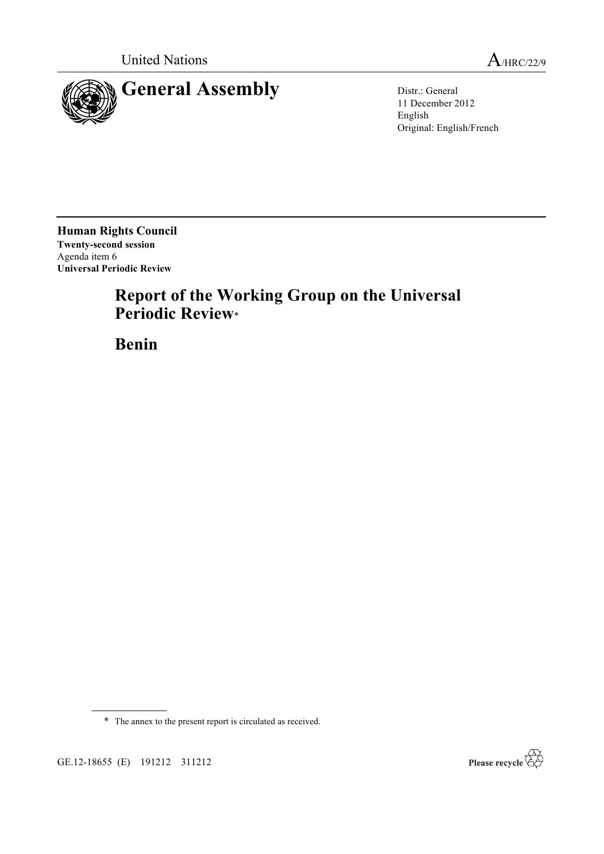

11 December 2012 English Original: English/French

**Human Rights Council Twenty-second session** Agenda item 6 **Universal Periodic Review**

# **Report of the Working Group on the Universal Periodic Review**\*

**Benin**

GE.12-18655 (E) 191212 311212



<sup>\*</sup> The annex to the present report is circulated as received.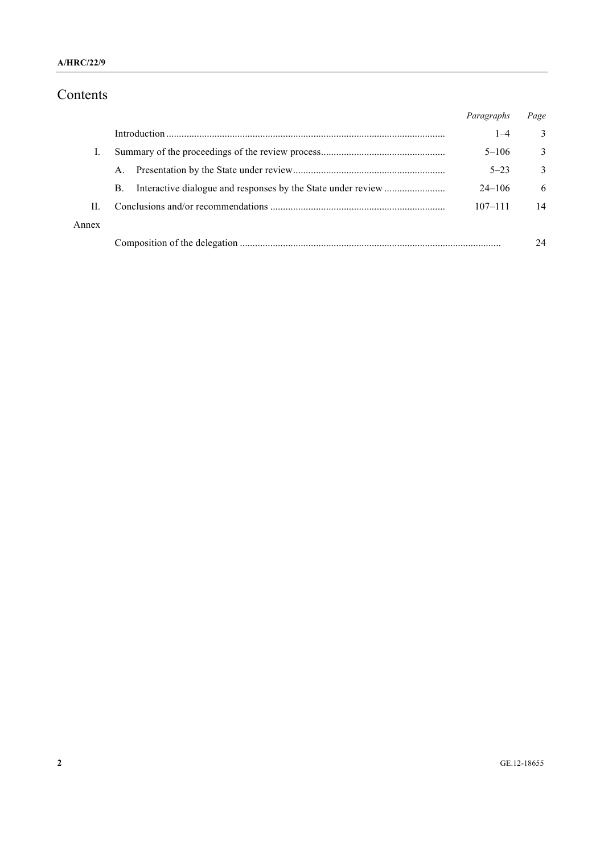## Contents

|       |    | Paragraphs  | Page         |
|-------|----|-------------|--------------|
|       |    | $1 - 4$     | 3            |
|       |    | $5 - 106$   | 3            |
|       | A. | $5 - 23$    | $\mathbf{3}$ |
|       | B. | $24 - 106$  | 6            |
| П     |    | $107 - 111$ | 14           |
| Annex |    |             |              |
|       |    |             | 24           |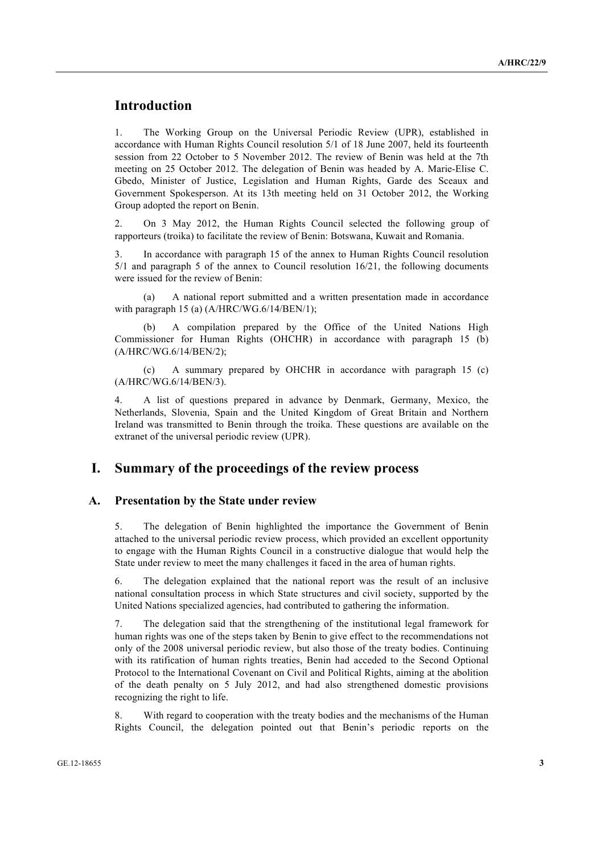## **Introduction**

1. The Working Group on the Universal Periodic Review (UPR), established in accordance with Human Rights Council resolution 5/1 of 18 June 2007, held its fourteenth session from 22 October to 5 November 2012. The review of Benin was held at the 7th meeting on 25 October 2012. The delegation of Benin was headed by A. Marie-Elise C. Gbedo, Minister of Justice, Legislation and Human Rights, Garde des Sceaux and Government Spokesperson. At its 13th meeting held on 31 October 2012, the Working Group adopted the report on Benin.

2. On 3 May 2012, the Human Rights Council selected the following group of rapporteurs (troika) to facilitate the review of Benin: Botswana, Kuwait and Romania.

3. In accordance with paragraph 15 of the annex to Human Rights Council resolution 5/1 and paragraph 5 of the annex to Council resolution 16/21, the following documents were issued for the review of Benin:

(a) A national report submitted and a written presentation made in accordance with paragraph 15 (a)  $(A/HRC/WG.6/14/BEN/1);$ 

A compilation prepared by the Office of the United Nations High Commissioner for Human Rights (OHCHR) in accordance with paragraph 15 (b) (A/HRC/WG.6/14/BEN/2);

(c) A summary prepared by OHCHR in accordance with paragraph 15 (c) (A/HRC/WG.6/14/BEN/3).

4. A list of questions prepared in advance by Denmark, Germany, Mexico, the Netherlands, Slovenia, Spain and the United Kingdom of Great Britain and Northern Ireland was transmitted to Benin through the troika. These questions are available on the extranet of the universal periodic review (UPR).

## **I. Summary of the proceedings of the review process**

#### **A. Presentation by the State under review**

5. The delegation of Benin highlighted the importance the Government of Benin attached to the universal periodic review process, which provided an excellent opportunity to engage with the Human Rights Council in a constructive dialogue that would help the State under review to meet the many challenges it faced in the area of human rights.

6. The delegation explained that the national report was the result of an inclusive national consultation process in which State structures and civil society, supported by the United Nations specialized agencies, had contributed to gathering the information.

7. The delegation said that the strengthening of the institutional legal framework for human rights was one of the steps taken by Benin to give effect to the recommendations not only of the 2008 universal periodic review, but also those of the treaty bodies. Continuing with its ratification of human rights treaties, Benin had acceded to the Second Optional Protocol to the International Covenant on Civil and Political Rights, aiming at the abolition of the death penalty on 5 July 2012, and had also strengthened domestic provisions recognizing the right to life.

8. With regard to cooperation with the treaty bodies and the mechanisms of the Human Rights Council, the delegation pointed out that Benin's periodic reports on the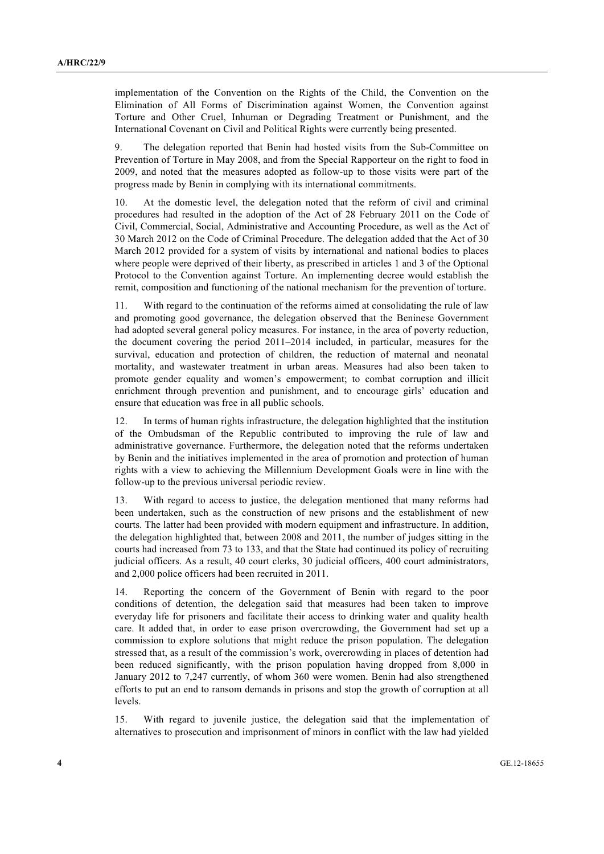implementation of the Convention on the Rights of the Child, the Convention on the Elimination of All Forms of Discrimination against Women, the Convention against Torture and Other Cruel, Inhuman or Degrading Treatment or Punishment, and the International Covenant on Civil and Political Rights were currently being presented.

9. The delegation reported that Benin had hosted visits from the Sub-Committee on Prevention of Torture in May 2008, and from the Special Rapporteur on the right to food in 2009, and noted that the measures adopted as follow-up to those visits were part of the progress made by Benin in complying with its international commitments.

10. At the domestic level, the delegation noted that the reform of civil and criminal procedures had resulted in the adoption of the Act of 28 February 2011 on the Code of Civil, Commercial, Social, Administrative and Accounting Procedure, as well as the Act of 30 March 2012 on the Code of Criminal Procedure. The delegation added that the Act of 30 March 2012 provided for a system of visits by international and national bodies to places where people were deprived of their liberty, as prescribed in articles 1 and 3 of the Optional Protocol to the Convention against Torture. An implementing decree would establish the remit, composition and functioning of the national mechanism for the prevention of torture.

11. With regard to the continuation of the reforms aimed at consolidating the rule of law and promoting good governance, the delegation observed that the Beninese Government had adopted several general policy measures. For instance, in the area of poverty reduction, the document covering the period 2011–2014 included, in particular, measures for the survival, education and protection of children, the reduction of maternal and neonatal mortality, and wastewater treatment in urban areas. Measures had also been taken to promote gender equality and women's empowerment; to combat corruption and illicit enrichment through prevention and punishment, and to encourage girls' education and ensure that education was free in all public schools.

12. In terms of human rights infrastructure, the delegation highlighted that the institution of the Ombudsman of the Republic contributed to improving the rule of law and administrative governance. Furthermore, the delegation noted that the reforms undertaken by Benin and the initiatives implemented in the area of promotion and protection of human rights with a view to achieving the Millennium Development Goals were in line with the follow-up to the previous universal periodic review.

13. With regard to access to justice, the delegation mentioned that many reforms had been undertaken, such as the construction of new prisons and the establishment of new courts. The latter had been provided with modern equipment and infrastructure. In addition, the delegation highlighted that, between 2008 and 2011, the number of judges sitting in the courts had increased from 73 to 133, and that the State had continued its policy of recruiting judicial officers. As a result, 40 court clerks, 30 judicial officers, 400 court administrators, and 2,000 police officers had been recruited in 2011.

14. Reporting the concern of the Government of Benin with regard to the poor conditions of detention, the delegation said that measures had been taken to improve everyday life for prisoners and facilitate their access to drinking water and quality health care. It added that, in order to ease prison overcrowding, the Government had set up a commission to explore solutions that might reduce the prison population. The delegation stressed that, as a result of the commission's work, overcrowding in places of detention had been reduced significantly, with the prison population having dropped from 8,000 in January 2012 to 7,247 currently, of whom 360 were women. Benin had also strengthened efforts to put an end to ransom demands in prisons and stop the growth of corruption at all levels.

15. With regard to juvenile justice, the delegation said that the implementation of alternatives to prosecution and imprisonment of minors in conflict with the law had yielded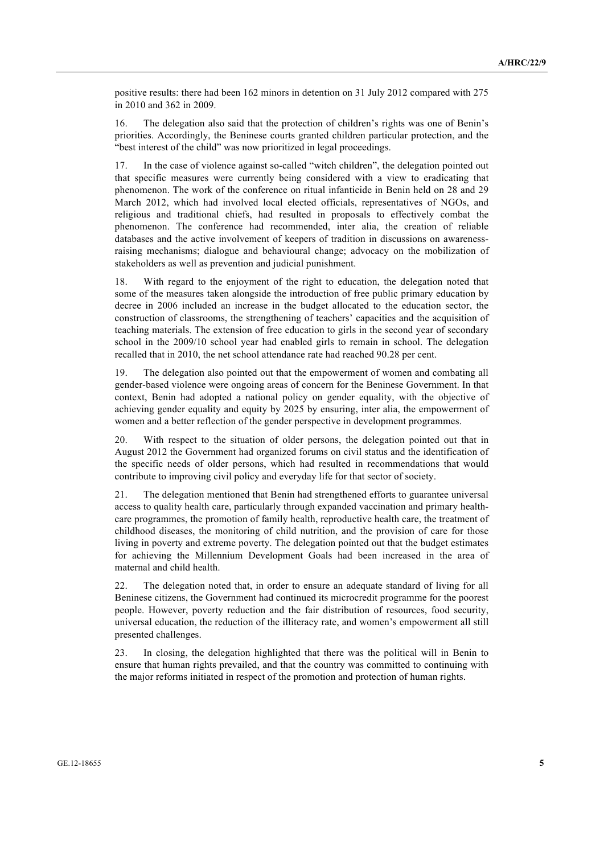positive results: there had been 162 minors in detention on 31 July 2012 compared with 275 in 2010 and 362 in 2009.

16. The delegation also said that the protection of children's rights was one of Benin's priorities. Accordingly, the Beninese courts granted children particular protection, and the "best interest of the child" was now prioritized in legal proceedings.

17. In the case of violence against so-called "witch children", the delegation pointed out that specific measures were currently being considered with a view to eradicating that phenomenon. The work of the conference on ritual infanticide in Benin held on 28 and 29 March 2012, which had involved local elected officials, representatives of NGOs, and religious and traditional chiefs, had resulted in proposals to effectively combat the phenomenon. The conference had recommended, inter alia, the creation of reliable databases and the active involvement of keepers of tradition in discussions on awarenessraising mechanisms; dialogue and behavioural change; advocacy on the mobilization of stakeholders as well as prevention and judicial punishment.

18. With regard to the enjoyment of the right to education, the delegation noted that some of the measures taken alongside the introduction of free public primary education by decree in 2006 included an increase in the budget allocated to the education sector, the construction of classrooms, the strengthening of teachers' capacities and the acquisition of teaching materials. The extension of free education to girls in the second year of secondary school in the 2009/10 school year had enabled girls to remain in school. The delegation recalled that in 2010, the net school attendance rate had reached 90.28 per cent.

19. The delegation also pointed out that the empowerment of women and combating all gender-based violence were ongoing areas of concern for the Beninese Government. In that context, Benin had adopted a national policy on gender equality, with the objective of achieving gender equality and equity by 2025 by ensuring, inter alia, the empowerment of women and a better reflection of the gender perspective in development programmes.

20. With respect to the situation of older persons, the delegation pointed out that in August 2012 the Government had organized forums on civil status and the identification of the specific needs of older persons, which had resulted in recommendations that would contribute to improving civil policy and everyday life for that sector of society.

21. The delegation mentioned that Benin had strengthened efforts to guarantee universal access to quality health care, particularly through expanded vaccination and primary healthcare programmes, the promotion of family health, reproductive health care, the treatment of childhood diseases, the monitoring of child nutrition, and the provision of care for those living in poverty and extreme poverty. The delegation pointed out that the budget estimates for achieving the Millennium Development Goals had been increased in the area of maternal and child health.

22. The delegation noted that, in order to ensure an adequate standard of living for all Beninese citizens, the Government had continued its microcredit programme for the poorest people. However, poverty reduction and the fair distribution of resources, food security, universal education, the reduction of the illiteracy rate, and women's empowerment all still presented challenges.

23. In closing, the delegation highlighted that there was the political will in Benin to ensure that human rights prevailed, and that the country was committed to continuing with the major reforms initiated in respect of the promotion and protection of human rights.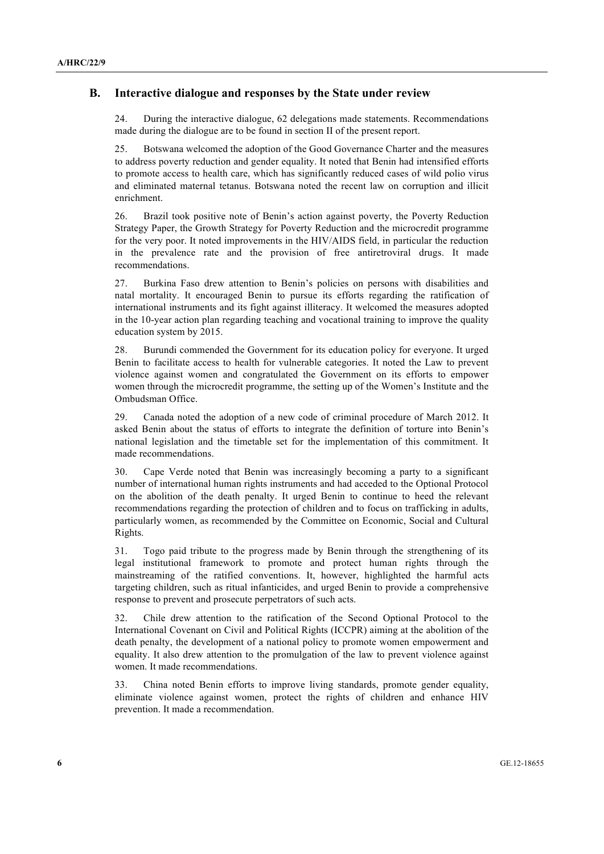#### **B. Interactive dialogue and responses by the State under review**

24. During the interactive dialogue, 62 delegations made statements. Recommendations made during the dialogue are to be found in section II of the present report.

25. Botswana welcomed the adoption of the Good Governance Charter and the measures to address poverty reduction and gender equality. It noted that Benin had intensified efforts to promote access to health care, which has significantly reduced cases of wild polio virus and eliminated maternal tetanus. Botswana noted the recent law on corruption and illicit enrichment.

26. Brazil took positive note of Benin's action against poverty, the Poverty Reduction Strategy Paper, the Growth Strategy for Poverty Reduction and the microcredit programme for the very poor. It noted improvements in the HIV/AIDS field, in particular the reduction in the prevalence rate and the provision of free antiretroviral drugs. It made recommendations.

27. Burkina Faso drew attention to Benin's policies on persons with disabilities and natal mortality. It encouraged Benin to pursue its efforts regarding the ratification of international instruments and its fight against illiteracy. It welcomed the measures adopted in the 10-year action plan regarding teaching and vocational training to improve the quality education system by 2015.

28. Burundi commended the Government for its education policy for everyone. It urged Benin to facilitate access to health for vulnerable categories. It noted the Law to prevent violence against women and congratulated the Government on its efforts to empower women through the microcredit programme, the setting up of the Women's Institute and the Ombudsman Office.

29. Canada noted the adoption of a new code of criminal procedure of March 2012. It asked Benin about the status of efforts to integrate the definition of torture into Benin's national legislation and the timetable set for the implementation of this commitment. It made recommendations.

30. Cape Verde noted that Benin was increasingly becoming a party to a significant number of international human rights instruments and had acceded to the Optional Protocol on the abolition of the death penalty. It urged Benin to continue to heed the relevant recommendations regarding the protection of children and to focus on trafficking in adults, particularly women, as recommended by the Committee on Economic, Social and Cultural Rights.

31. Togo paid tribute to the progress made by Benin through the strengthening of its legal institutional framework to promote and protect human rights through the mainstreaming of the ratified conventions. It, however, highlighted the harmful acts targeting children, such as ritual infanticides, and urged Benin to provide a comprehensive response to prevent and prosecute perpetrators of such acts.

32. Chile drew attention to the ratification of the Second Optional Protocol to the International Covenant on Civil and Political Rights (ICCPR) aiming at the abolition of the death penalty, the development of a national policy to promote women empowerment and equality. It also drew attention to the promulgation of the law to prevent violence against women. It made recommendations.

33. China noted Benin efforts to improve living standards, promote gender equality, eliminate violence against women, protect the rights of children and enhance HIV prevention. It made a recommendation.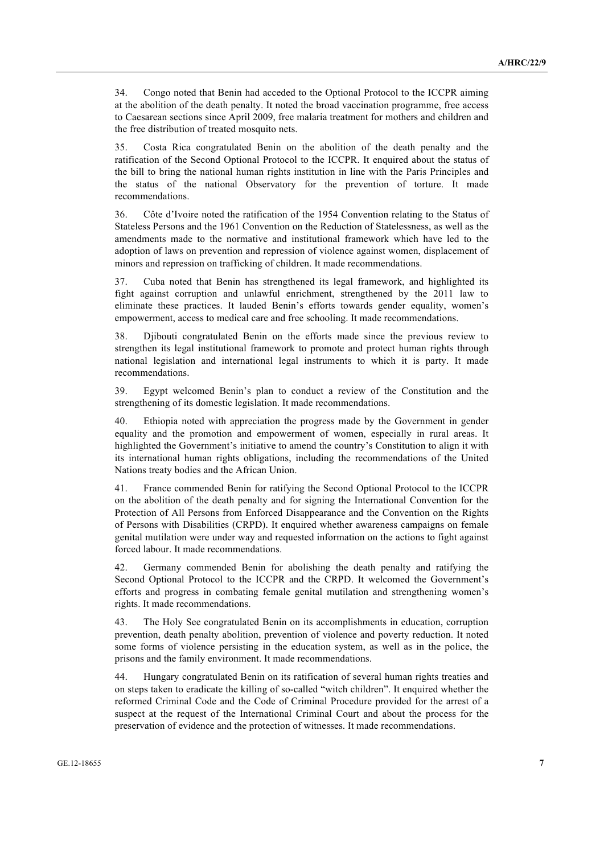34. Congo noted that Benin had acceded to the Optional Protocol to the ICCPR aiming at the abolition of the death penalty. It noted the broad vaccination programme, free access to Caesarean sections since April 2009, free malaria treatment for mothers and children and the free distribution of treated mosquito nets.

35. Costa Rica congratulated Benin on the abolition of the death penalty and the ratification of the Second Optional Protocol to the ICCPR. It enquired about the status of the bill to bring the national human rights institution in line with the Paris Principles and the status of the national Observatory for the prevention of torture. It made recommendations.

36. Côte d'Ivoire noted the ratification of the 1954 Convention relating to the Status of Stateless Persons and the 1961 Convention on the Reduction of Statelessness, as well as the amendments made to the normative and institutional framework which have led to the adoption of laws on prevention and repression of violence against women, displacement of minors and repression on trafficking of children. It made recommendations.

37. Cuba noted that Benin has strengthened its legal framework, and highlighted its fight against corruption and unlawful enrichment, strengthened by the 2011 law to eliminate these practices. It lauded Benin's efforts towards gender equality, women's empowerment, access to medical care and free schooling. It made recommendations.

38. Djibouti congratulated Benin on the efforts made since the previous review to strengthen its legal institutional framework to promote and protect human rights through national legislation and international legal instruments to which it is party. It made recommendations.

39. Egypt welcomed Benin's plan to conduct a review of the Constitution and the strengthening of its domestic legislation. It made recommendations.

40. Ethiopia noted with appreciation the progress made by the Government in gender equality and the promotion and empowerment of women, especially in rural areas. It highlighted the Government's initiative to amend the country's Constitution to align it with its international human rights obligations, including the recommendations of the United Nations treaty bodies and the African Union.

41. France commended Benin for ratifying the Second Optional Protocol to the ICCPR on the abolition of the death penalty and for signing the International Convention for the Protection of All Persons from Enforced Disappearance and the Convention on the Rights of Persons with Disabilities (CRPD). It enquired whether awareness campaigns on female genital mutilation were under way and requested information on the actions to fight against forced labour. It made recommendations.

42. Germany commended Benin for abolishing the death penalty and ratifying the Second Optional Protocol to the ICCPR and the CRPD. It welcomed the Government's efforts and progress in combating female genital mutilation and strengthening women's rights. It made recommendations.

43. The Holy See congratulated Benin on its accomplishments in education, corruption prevention, death penalty abolition, prevention of violence and poverty reduction. It noted some forms of violence persisting in the education system, as well as in the police, the prisons and the family environment. It made recommendations.

44. Hungary congratulated Benin on its ratification of several human rights treaties and on steps taken to eradicate the killing of so-called "witch children". It enquired whether the reformed Criminal Code and the Code of Criminal Procedure provided for the arrest of a suspect at the request of the International Criminal Court and about the process for the preservation of evidence and the protection of witnesses. It made recommendations.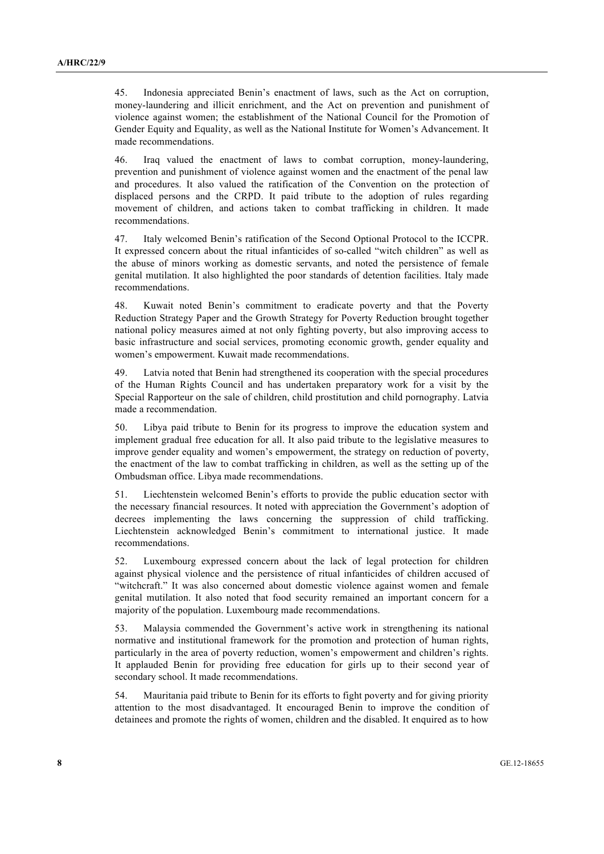45. Indonesia appreciated Benin's enactment of laws, such as the Act on corruption, money-laundering and illicit enrichment, and the Act on prevention and punishment of violence against women; the establishment of the National Council for the Promotion of Gender Equity and Equality, as well as the National Institute for Women's Advancement. It made recommendations.

46. Iraq valued the enactment of laws to combat corruption, money-laundering, prevention and punishment of violence against women and the enactment of the penal law and procedures. It also valued the ratification of the Convention on the protection of displaced persons and the CRPD. It paid tribute to the adoption of rules regarding movement of children, and actions taken to combat trafficking in children. It made recommendations.

47. Italy welcomed Benin's ratification of the Second Optional Protocol to the ICCPR. It expressed concern about the ritual infanticides of so-called "witch children" as well as the abuse of minors working as domestic servants, and noted the persistence of female genital mutilation. It also highlighted the poor standards of detention facilities. Italy made recommendations.

48. Kuwait noted Benin's commitment to eradicate poverty and that the Poverty Reduction Strategy Paper and the Growth Strategy for Poverty Reduction brought together national policy measures aimed at not only fighting poverty, but also improving access to basic infrastructure and social services, promoting economic growth, gender equality and women's empowerment. Kuwait made recommendations.

49. Latvia noted that Benin had strengthened its cooperation with the special procedures of the Human Rights Council and has undertaken preparatory work for a visit by the Special Rapporteur on the sale of children, child prostitution and child pornography. Latvia made a recommendation.

50. Libya paid tribute to Benin for its progress to improve the education system and implement gradual free education for all. It also paid tribute to the legislative measures to improve gender equality and women's empowerment, the strategy on reduction of poverty, the enactment of the law to combat trafficking in children, as well as the setting up of the Ombudsman office. Libya made recommendations.

51. Liechtenstein welcomed Benin's efforts to provide the public education sector with the necessary financial resources. It noted with appreciation the Government's adoption of decrees implementing the laws concerning the suppression of child trafficking. Liechtenstein acknowledged Benin's commitment to international justice. It made recommendations.

52. Luxembourg expressed concern about the lack of legal protection for children against physical violence and the persistence of ritual infanticides of children accused of "witchcraft." It was also concerned about domestic violence against women and female genital mutilation. It also noted that food security remained an important concern for a majority of the population. Luxembourg made recommendations.

53. Malaysia commended the Government's active work in strengthening its national normative and institutional framework for the promotion and protection of human rights, particularly in the area of poverty reduction, women's empowerment and children's rights. It applauded Benin for providing free education for girls up to their second year of secondary school. It made recommendations.

54. Mauritania paid tribute to Benin for its efforts to fight poverty and for giving priority attention to the most disadvantaged. It encouraged Benin to improve the condition of detainees and promote the rights of women, children and the disabled. It enquired as to how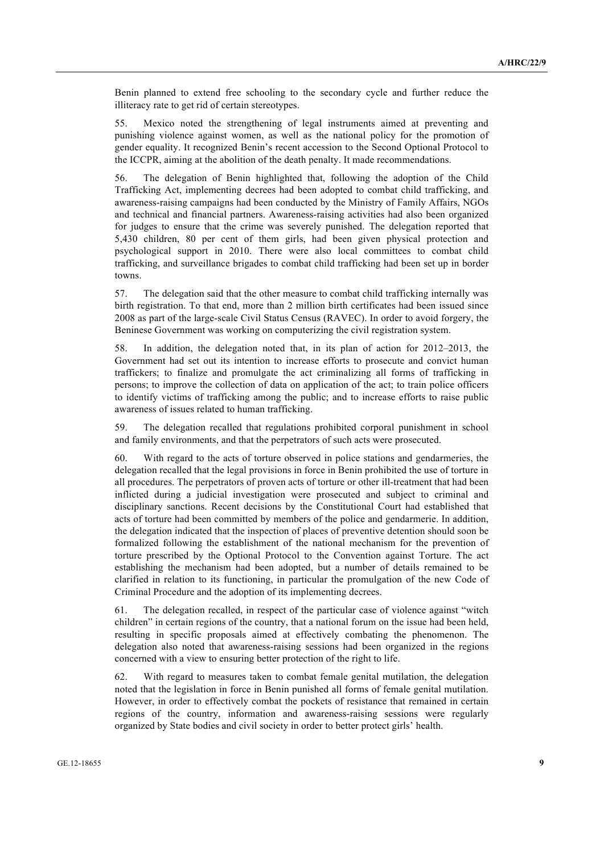Benin planned to extend free schooling to the secondary cycle and further reduce the illiteracy rate to get rid of certain stereotypes.

55. Mexico noted the strengthening of legal instruments aimed at preventing and punishing violence against women, as well as the national policy for the promotion of gender equality. It recognized Benin's recent accession to the Second Optional Protocol to the ICCPR, aiming at the abolition of the death penalty. It made recommendations.

56. The delegation of Benin highlighted that, following the adoption of the Child Trafficking Act, implementing decrees had been adopted to combat child trafficking, and awareness-raising campaigns had been conducted by the Ministry of Family Affairs, NGOs and technical and financial partners. Awareness-raising activities had also been organized for judges to ensure that the crime was severely punished. The delegation reported that 5,430 children, 80 per cent of them girls, had been given physical protection and psychological support in 2010. There were also local committees to combat child trafficking, and surveillance brigades to combat child trafficking had been set up in border towns.

57. The delegation said that the other measure to combat child trafficking internally was birth registration. To that end, more than 2 million birth certificates had been issued since 2008 as part of the large-scale Civil Status Census (RAVEC). In order to avoid forgery, the Beninese Government was working on computerizing the civil registration system.

58. In addition, the delegation noted that, in its plan of action for 2012–2013, the Government had set out its intention to increase efforts to prosecute and convict human traffickers; to finalize and promulgate the act criminalizing all forms of trafficking in persons; to improve the collection of data on application of the act; to train police officers to identify victims of trafficking among the public; and to increase efforts to raise public awareness of issues related to human trafficking.

59. The delegation recalled that regulations prohibited corporal punishment in school and family environments, and that the perpetrators of such acts were prosecuted.

60. With regard to the acts of torture observed in police stations and gendarmeries, the delegation recalled that the legal provisions in force in Benin prohibited the use of torture in all procedures. The perpetrators of proven acts of torture or other ill-treatment that had been inflicted during a judicial investigation were prosecuted and subject to criminal and disciplinary sanctions. Recent decisions by the Constitutional Court had established that acts of torture had been committed by members of the police and gendarmerie. In addition, the delegation indicated that the inspection of places of preventive detention should soon be formalized following the establishment of the national mechanism for the prevention of torture prescribed by the Optional Protocol to the Convention against Torture. The act establishing the mechanism had been adopted, but a number of details remained to be clarified in relation to its functioning, in particular the promulgation of the new Code of Criminal Procedure and the adoption of its implementing decrees.

61. The delegation recalled, in respect of the particular case of violence against "witch children" in certain regions of the country, that a national forum on the issue had been held, resulting in specific proposals aimed at effectively combating the phenomenon. The delegation also noted that awareness-raising sessions had been organized in the regions concerned with a view to ensuring better protection of the right to life.

62. With regard to measures taken to combat female genital mutilation, the delegation noted that the legislation in force in Benin punished all forms of female genital mutilation. However, in order to effectively combat the pockets of resistance that remained in certain regions of the country, information and awareness-raising sessions were regularly organized by State bodies and civil society in order to better protect girls' health.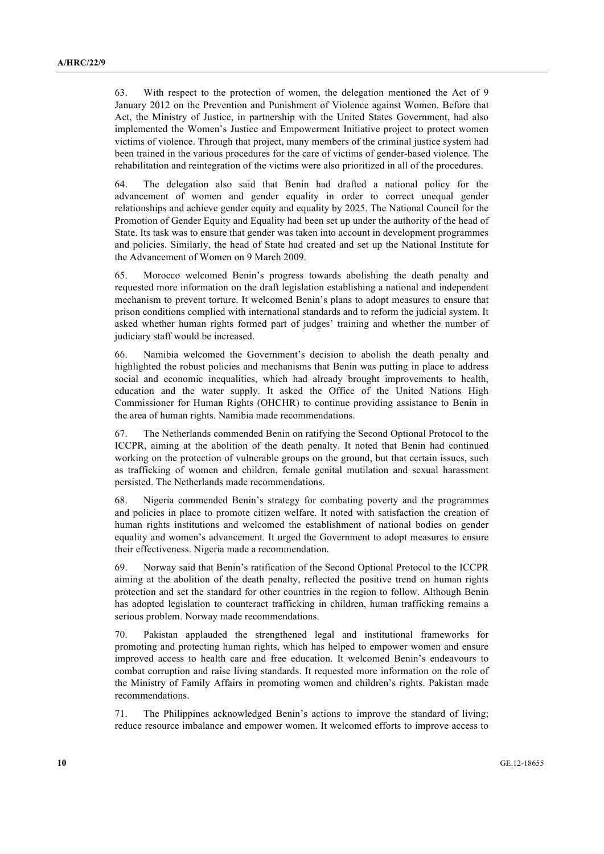63. With respect to the protection of women, the delegation mentioned the Act of 9 January 2012 on the Prevention and Punishment of Violence against Women. Before that Act, the Ministry of Justice, in partnership with the United States Government, had also implemented the Women's Justice and Empowerment Initiative project to protect women victims of violence. Through that project, many members of the criminal justice system had been trained in the various procedures for the care of victims of gender-based violence. The rehabilitation and reintegration of the victims were also prioritized in all of the procedures.

64. The delegation also said that Benin had drafted a national policy for the advancement of women and gender equality in order to correct unequal gender relationships and achieve gender equity and equality by 2025. The National Council for the Promotion of Gender Equity and Equality had been set up under the authority of the head of State. Its task was to ensure that gender was taken into account in development programmes and policies. Similarly, the head of State had created and set up the National Institute for the Advancement of Women on 9 March 2009.

65. Morocco welcomed Benin's progress towards abolishing the death penalty and requested more information on the draft legislation establishing a national and independent mechanism to prevent torture. It welcomed Benin's plans to adopt measures to ensure that prison conditions complied with international standards and to reform the judicial system. It asked whether human rights formed part of judges' training and whether the number of judiciary staff would be increased.

66. Namibia welcomed the Government's decision to abolish the death penalty and highlighted the robust policies and mechanisms that Benin was putting in place to address social and economic inequalities, which had already brought improvements to health, education and the water supply. It asked the Office of the United Nations High Commissioner for Human Rights (OHCHR) to continue providing assistance to Benin in the area of human rights. Namibia made recommendations.

67. The Netherlands commended Benin on ratifying the Second Optional Protocol to the ICCPR, aiming at the abolition of the death penalty. It noted that Benin had continued working on the protection of vulnerable groups on the ground, but that certain issues, such as trafficking of women and children, female genital mutilation and sexual harassment persisted. The Netherlands made recommendations.

68. Nigeria commended Benin's strategy for combating poverty and the programmes and policies in place to promote citizen welfare. It noted with satisfaction the creation of human rights institutions and welcomed the establishment of national bodies on gender equality and women's advancement. It urged the Government to adopt measures to ensure their effectiveness. Nigeria made a recommendation.

69. Norway said that Benin's ratification of the Second Optional Protocol to the ICCPR aiming at the abolition of the death penalty, reflected the positive trend on human rights protection and set the standard for other countries in the region to follow. Although Benin has adopted legislation to counteract trafficking in children, human trafficking remains a serious problem. Norway made recommendations.

70. Pakistan applauded the strengthened legal and institutional frameworks for promoting and protecting human rights, which has helped to empower women and ensure improved access to health care and free education. It welcomed Benin's endeavours to combat corruption and raise living standards. It requested more information on the role of the Ministry of Family Affairs in promoting women and children's rights. Pakistan made recommendations.

71. The Philippines acknowledged Benin's actions to improve the standard of living; reduce resource imbalance and empower women. It welcomed efforts to improve access to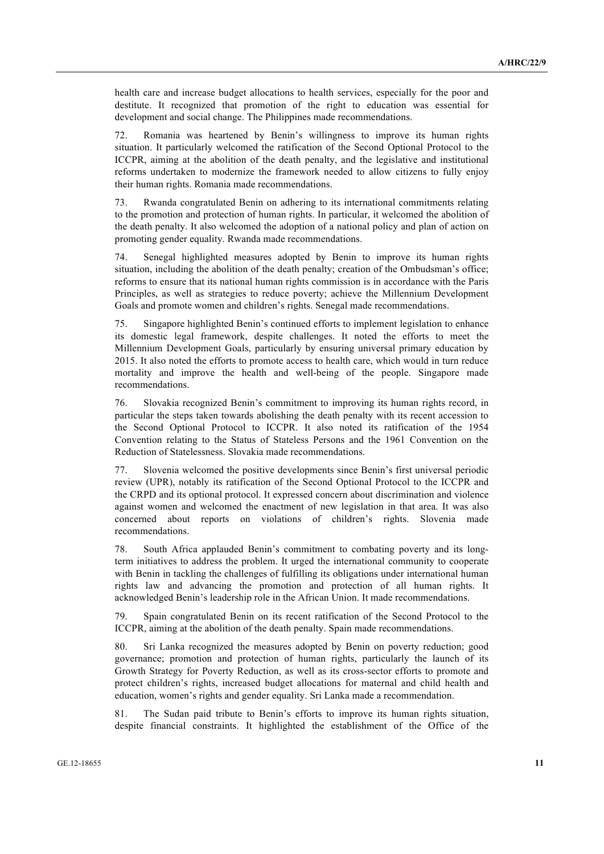health care and increase budget allocations to health services, especially for the poor and destitute. It recognized that promotion of the right to education was essential for development and social change. The Philippines made recommendations.

72. Romania was heartened by Benin's willingness to improve its human rights situation. It particularly welcomed the ratification of the Second Optional Protocol to the ICCPR, aiming at the abolition of the death penalty, and the legislative and institutional reforms undertaken to modernize the framework needed to allow citizens to fully enjoy their human rights. Romania made recommendations.

73. Rwanda congratulated Benin on adhering to its international commitments relating to the promotion and protection of human rights. In particular, it welcomed the abolition of the death penalty. It also welcomed the adoption of a national policy and plan of action on promoting gender equality. Rwanda made recommendations.

74. Senegal highlighted measures adopted by Benin to improve its human rights situation, including the abolition of the death penalty; creation of the Ombudsman's office; reforms to ensure that its national human rights commission is in accordance with the Paris Principles, as well as strategies to reduce poverty; achieve the Millennium Development Goals and promote women and children's rights. Senegal made recommendations.

75. Singapore highlighted Benin's continued efforts to implement legislation to enhance its domestic legal framework, despite challenges. It noted the efforts to meet the Millennium Development Goals, particularly by ensuring universal primary education by 2015. It also noted the efforts to promote access to health care, which would in turn reduce mortality and improve the health and well-being of the people. Singapore made recommendations.

76. Slovakia recognized Benin's commitment to improving its human rights record, in particular the steps taken towards abolishing the death penalty with its recent accession to the Second Optional Protocol to ICCPR. It also noted its ratification of the 1954 Convention relating to the Status of Stateless Persons and the 1961 Convention on the Reduction of Statelessness. Slovakia made recommendations.

77. Slovenia welcomed the positive developments since Benin's first universal periodic review (UPR), notably its ratification of the Second Optional Protocol to the ICCPR and the CRPD and its optional protocol. It expressed concern about discrimination and violence against women and welcomed the enactment of new legislation in that area. It was also concerned about reports on violations of children's rights. Slovenia made recommendations.

78. South Africa applauded Benin's commitment to combating poverty and its longterm initiatives to address the problem. It urged the international community to cooperate with Benin in tackling the challenges of fulfilling its obligations under international human rights law and advancing the promotion and protection of all human rights. It acknowledged Benin's leadership role in the African Union. It made recommendations.

79. Spain congratulated Benin on its recent ratification of the Second Protocol to the ICCPR, aiming at the abolition of the death penalty. Spain made recommendations.

80. Sri Lanka recognized the measures adopted by Benin on poverty reduction; good governance; promotion and protection of human rights, particularly the launch of its Growth Strategy for Poverty Reduction, as well as its cross-sector efforts to promote and protect children's rights, increased budget allocations for maternal and child health and education, women's rights and gender equality. Sri Lanka made a recommendation.

81. The Sudan paid tribute to Benin's efforts to improve its human rights situation, despite financial constraints. It highlighted the establishment of the Office of the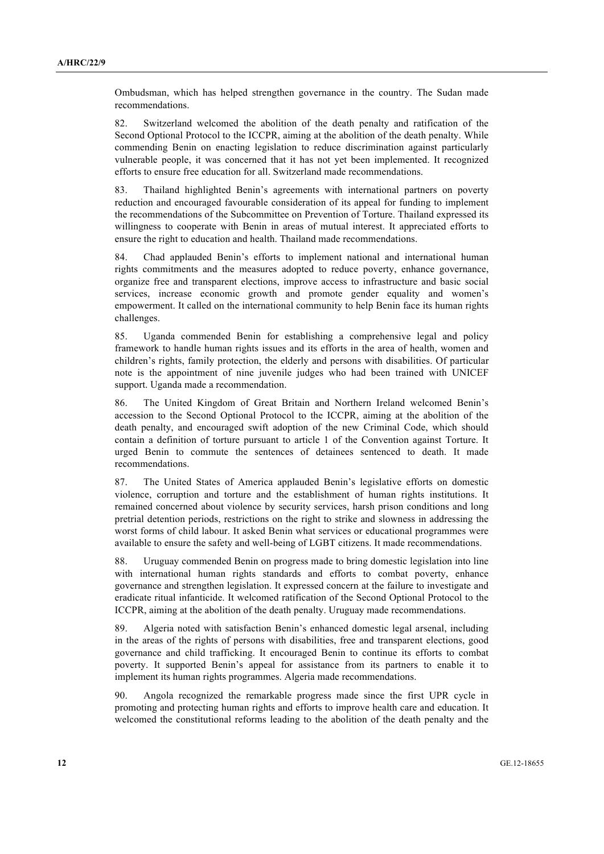Ombudsman, which has helped strengthen governance in the country. The Sudan made recommendations.

82. Switzerland welcomed the abolition of the death penalty and ratification of the Second Optional Protocol to the ICCPR, aiming at the abolition of the death penalty. While commending Benin on enacting legislation to reduce discrimination against particularly vulnerable people, it was concerned that it has not yet been implemented. It recognized efforts to ensure free education for all. Switzerland made recommendations.

83. Thailand highlighted Benin's agreements with international partners on poverty reduction and encouraged favourable consideration of its appeal for funding to implement the recommendations of the Subcommittee on Prevention of Torture. Thailand expressed its willingness to cooperate with Benin in areas of mutual interest. It appreciated efforts to ensure the right to education and health. Thailand made recommendations.

84. Chad applauded Benin's efforts to implement national and international human rights commitments and the measures adopted to reduce poverty, enhance governance, organize free and transparent elections, improve access to infrastructure and basic social services, increase economic growth and promote gender equality and women's empowerment. It called on the international community to help Benin face its human rights challenges.

85. Uganda commended Benin for establishing a comprehensive legal and policy framework to handle human rights issues and its efforts in the area of health, women and children's rights, family protection, the elderly and persons with disabilities. Of particular note is the appointment of nine juvenile judges who had been trained with UNICEF support. Uganda made a recommendation.

86. The United Kingdom of Great Britain and Northern Ireland welcomed Benin's accession to the Second Optional Protocol to the ICCPR, aiming at the abolition of the death penalty, and encouraged swift adoption of the new Criminal Code, which should contain a definition of torture pursuant to article 1 of the Convention against Torture. It urged Benin to commute the sentences of detainees sentenced to death. It made recommendations.

87. The United States of America applauded Benin's legislative efforts on domestic violence, corruption and torture and the establishment of human rights institutions. It remained concerned about violence by security services, harsh prison conditions and long pretrial detention periods, restrictions on the right to strike and slowness in addressing the worst forms of child labour. It asked Benin what services or educational programmes were available to ensure the safety and well-being of LGBT citizens. It made recommendations.

88. Uruguay commended Benin on progress made to bring domestic legislation into line with international human rights standards and efforts to combat poverty, enhance governance and strengthen legislation. It expressed concern at the failure to investigate and eradicate ritual infanticide. It welcomed ratification of the Second Optional Protocol to the ICCPR, aiming at the abolition of the death penalty. Uruguay made recommendations.

89. Algeria noted with satisfaction Benin's enhanced domestic legal arsenal, including in the areas of the rights of persons with disabilities, free and transparent elections, good governance and child trafficking. It encouraged Benin to continue its efforts to combat poverty. It supported Benin's appeal for assistance from its partners to enable it to implement its human rights programmes. Algeria made recommendations.

90. Angola recognized the remarkable progress made since the first UPR cycle in promoting and protecting human rights and efforts to improve health care and education. It welcomed the constitutional reforms leading to the abolition of the death penalty and the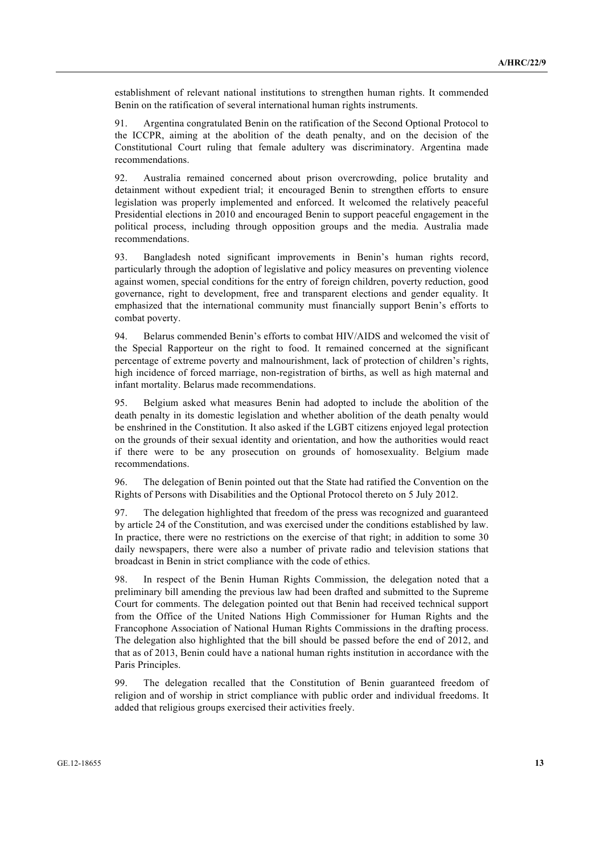establishment of relevant national institutions to strengthen human rights. It commended Benin on the ratification of several international human rights instruments.

91. Argentina congratulated Benin on the ratification of the Second Optional Protocol to the ICCPR, aiming at the abolition of the death penalty, and on the decision of the Constitutional Court ruling that female adultery was discriminatory. Argentina made recommendations.

92. Australia remained concerned about prison overcrowding, police brutality and detainment without expedient trial; it encouraged Benin to strengthen efforts to ensure legislation was properly implemented and enforced. It welcomed the relatively peaceful Presidential elections in 2010 and encouraged Benin to support peaceful engagement in the political process, including through opposition groups and the media. Australia made recommendations.

93. Bangladesh noted significant improvements in Benin's human rights record, particularly through the adoption of legislative and policy measures on preventing violence against women, special conditions for the entry of foreign children, poverty reduction, good governance, right to development, free and transparent elections and gender equality. It emphasized that the international community must financially support Benin's efforts to combat poverty.

94. Belarus commended Benin's efforts to combat HIV/AIDS and welcomed the visit of the Special Rapporteur on the right to food. It remained concerned at the significant percentage of extreme poverty and malnourishment, lack of protection of children's rights, high incidence of forced marriage, non-registration of births, as well as high maternal and infant mortality. Belarus made recommendations.

95. Belgium asked what measures Benin had adopted to include the abolition of the death penalty in its domestic legislation and whether abolition of the death penalty would be enshrined in the Constitution. It also asked if the LGBT citizens enjoyed legal protection on the grounds of their sexual identity and orientation, and how the authorities would react if there were to be any prosecution on grounds of homosexuality. Belgium made recommendations.

96. The delegation of Benin pointed out that the State had ratified the Convention on the Rights of Persons with Disabilities and the Optional Protocol thereto on 5 July 2012.

97. The delegation highlighted that freedom of the press was recognized and guaranteed by article 24 of the Constitution, and was exercised under the conditions established by law. In practice, there were no restrictions on the exercise of that right; in addition to some 30 daily newspapers, there were also a number of private radio and television stations that broadcast in Benin in strict compliance with the code of ethics.

98. In respect of the Benin Human Rights Commission, the delegation noted that a preliminary bill amending the previous law had been drafted and submitted to the Supreme Court for comments. The delegation pointed out that Benin had received technical support from the Office of the United Nations High Commissioner for Human Rights and the Francophone Association of National Human Rights Commissions in the drafting process. The delegation also highlighted that the bill should be passed before the end of 2012, and that as of 2013, Benin could have a national human rights institution in accordance with the Paris Principles.

99. The delegation recalled that the Constitution of Benin guaranteed freedom of religion and of worship in strict compliance with public order and individual freedoms. It added that religious groups exercised their activities freely.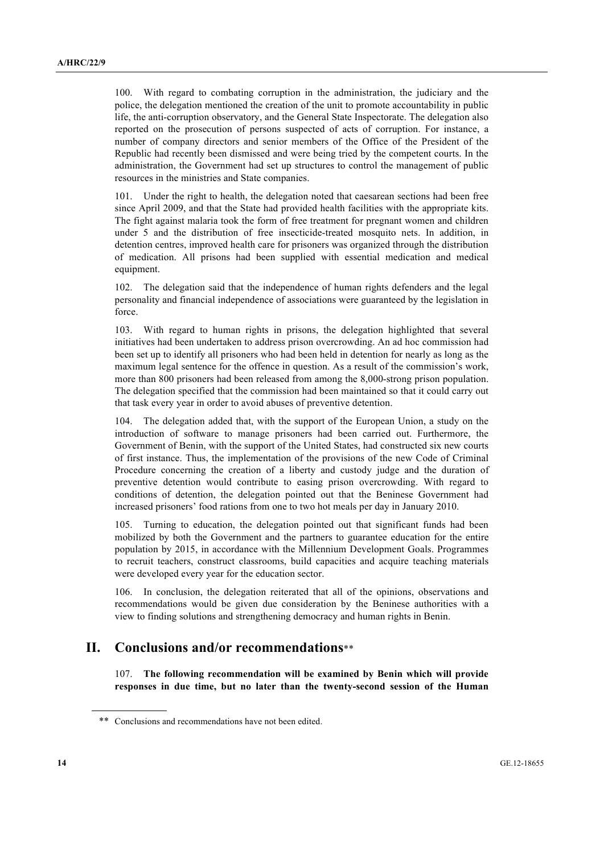100. With regard to combating corruption in the administration, the judiciary and the police, the delegation mentioned the creation of the unit to promote accountability in public life, the anti-corruption observatory, and the General State Inspectorate. The delegation also reported on the prosecution of persons suspected of acts of corruption. For instance, a number of company directors and senior members of the Office of the President of the Republic had recently been dismissed and were being tried by the competent courts. In the administration, the Government had set up structures to control the management of public resources in the ministries and State companies.

101. Under the right to health, the delegation noted that caesarean sections had been free since April 2009, and that the State had provided health facilities with the appropriate kits. The fight against malaria took the form of free treatment for pregnant women and children under 5 and the distribution of free insecticide-treated mosquito nets. In addition, in detention centres, improved health care for prisoners was organized through the distribution of medication. All prisons had been supplied with essential medication and medical equipment.

102. The delegation said that the independence of human rights defenders and the legal personality and financial independence of associations were guaranteed by the legislation in force.

103. With regard to human rights in prisons, the delegation highlighted that several initiatives had been undertaken to address prison overcrowding. An ad hoc commission had been set up to identify all prisoners who had been held in detention for nearly as long as the maximum legal sentence for the offence in question. As a result of the commission's work, more than 800 prisoners had been released from among the 8,000-strong prison population. The delegation specified that the commission had been maintained so that it could carry out that task every year in order to avoid abuses of preventive detention.

The delegation added that, with the support of the European Union, a study on the introduction of software to manage prisoners had been carried out. Furthermore, the Government of Benin, with the support of the United States, had constructed six new courts of first instance. Thus, the implementation of the provisions of the new Code of Criminal Procedure concerning the creation of a liberty and custody judge and the duration of preventive detention would contribute to easing prison overcrowding. With regard to conditions of detention, the delegation pointed out that the Beninese Government had increased prisoners' food rations from one to two hot meals per day in January 2010.

105. Turning to education, the delegation pointed out that significant funds had been mobilized by both the Government and the partners to guarantee education for the entire population by 2015, in accordance with the Millennium Development Goals. Programmes to recruit teachers, construct classrooms, build capacities and acquire teaching materials were developed every year for the education sector.

106. In conclusion, the delegation reiterated that all of the opinions, observations and recommendations would be given due consideration by the Beninese authorities with a view to finding solutions and strengthening democracy and human rights in Benin.

### **II. Conclusions and/or recommendations**\*\*

107. **The following recommendation will be examined by Benin which will provide responses in due time, but no later than the twenty-second session of the Human** 

<sup>\*\*</sup> Conclusions and recommendations have not been edited.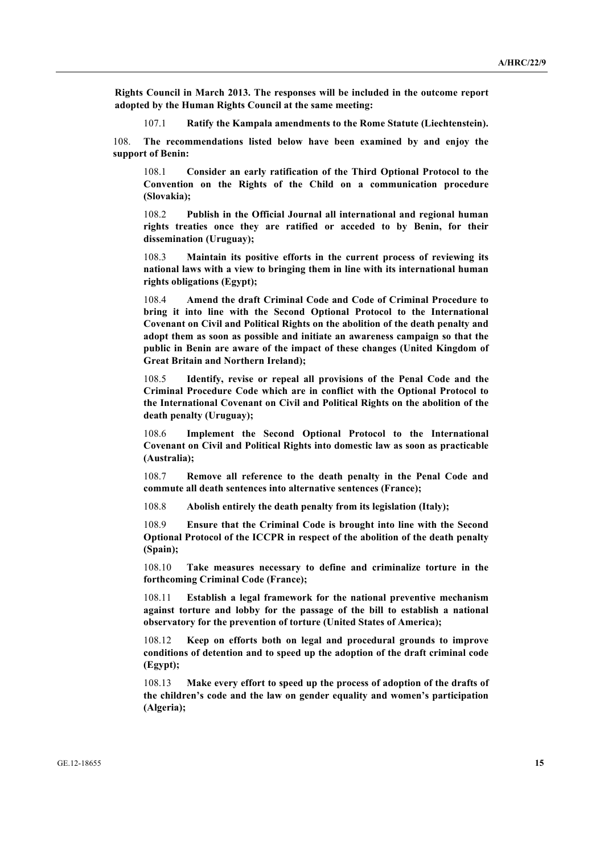**Rights Council in March 2013. The responses will be included in the outcome report adopted by the Human Rights Council at the same meeting:**

107.1 **Ratify the Kampala amendments to the Rome Statute (Liechtenstein).**

108. **The recommendations listed below have been examined by and enjoy the support of Benin:**

108.1 **Consider an early ratification of the Third Optional Protocol to the Convention on the Rights of the Child on a communication procedure (Slovakia);**

108.2 **Publish in the Official Journal all international and regional human rights treaties once they are ratified or acceded to by Benin, for their dissemination (Uruguay);**

108.3 **Maintain its positive efforts in the current process of reviewing its national laws with a view to bringing them in line with its international human rights obligations (Egypt);**

108.4 **Amend the draft Criminal Code and Code of Criminal Procedure to bring it into line with the Second Optional Protocol to the International Covenant on Civil and Political Rights on the abolition of the death penalty and adopt them as soon as possible and initiate an awareness campaign so that the public in Benin are aware of the impact of these changes (United Kingdom of Great Britain and Northern Ireland);**

108.5 **Identify, revise or repeal all provisions of the Penal Code and the Criminal Procedure Code which are in conflict with the Optional Protocol to the International Covenant on Civil and Political Rights on the abolition of the death penalty (Uruguay);**

108.6 **Implement the Second Optional Protocol to the International Covenant on Civil and Political Rights into domestic law as soon as practicable (Australia);**

108.7 **Remove all reference to the death penalty in the Penal Code and commute all death sentences into alternative sentences (France);**

108.8 **Abolish entirely the death penalty from its legislation (Italy);**

108.9 **Ensure that the Criminal Code is brought into line with the Second Optional Protocol of the ICCPR in respect of the abolition of the death penalty (Spain);**

108.10 **Take measures necessary to define and criminalize torture in the forthcoming Criminal Code (France);**

108.11 **Establish a legal framework for the national preventive mechanism against torture and lobby for the passage of the bill to establish a national observatory for the prevention of torture (United States of America);**

108.12 **Keep on efforts both on legal and procedural grounds to improve conditions of detention and to speed up the adoption of the draft criminal code (Egypt);**

108.13 **Make every effort to speed up the process of adoption of the drafts of the children's code and the law on gender equality and women's participation (Algeria);**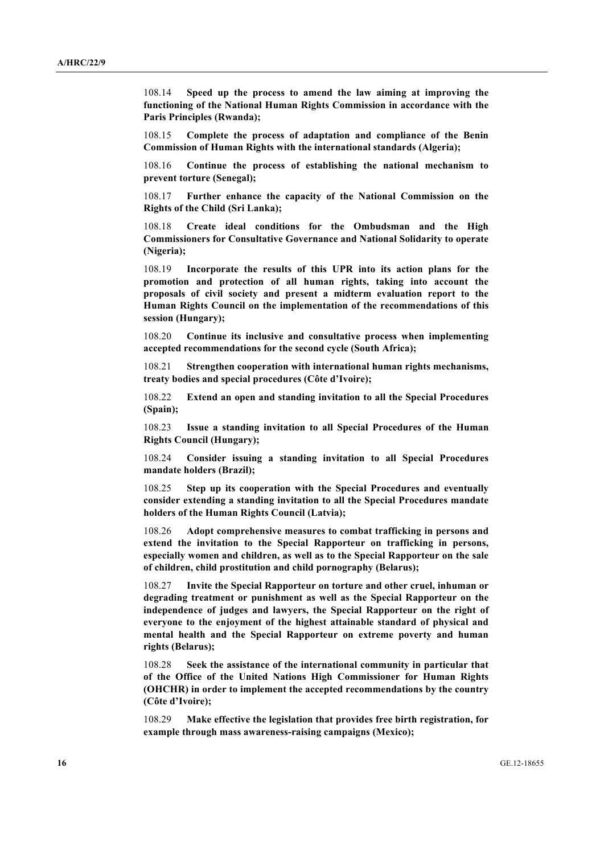108.14 **Speed up the process to amend the law aiming at improving the functioning of the National Human Rights Commission in accordance with the Paris Principles (Rwanda);**

108.15 **Complete the process of adaptation and compliance of the Benin Commission of Human Rights with the international standards (Algeria);**

108.16 **Continue the process of establishing the national mechanism to prevent torture (Senegal);**

108.17 **Further enhance the capacity of the National Commission on the Rights of the Child (Sri Lanka);**

108.18 **Create ideal conditions for the Ombudsman and the High Commissioners for Consultative Governance and National Solidarity to operate (Nigeria);**

108.19 **Incorporate the results of this UPR into its action plans for the promotion and protection of all human rights, taking into account the proposals of civil society and present a midterm evaluation report to the Human Rights Council on the implementation of the recommendations of this session (Hungary);**

108.20 **Continue its inclusive and consultative process when implementing accepted recommendations for the second cycle (South Africa);**

108.21 **Strengthen cooperation with international human rights mechanisms, treaty bodies and special procedures (Côte d'Ivoire);**

108.22 **Extend an open and standing invitation to all the Special Procedures (Spain);**

108.23 **Issue a standing invitation to all Special Procedures of the Human Rights Council (Hungary);**

108.24 **Consider issuing a standing invitation to all Special Procedures mandate holders (Brazil);**

108.25 **Step up its cooperation with the Special Procedures and eventually consider extending a standing invitation to all the Special Procedures mandate holders of the Human Rights Council (Latvia);**

108.26 **Adopt comprehensive measures to combat trafficking in persons and extend the invitation to the Special Rapporteur on trafficking in persons, especially women and children, as well as to the Special Rapporteur on the sale of children, child prostitution and child pornography (Belarus);**

108.27 **Invite the Special Rapporteur on torture and other cruel, inhuman or degrading treatment or punishment as well as the Special Rapporteur on the independence of judges and lawyers, the Special Rapporteur on the right of everyone to the enjoyment of the highest attainable standard of physical and mental health and the Special Rapporteur on extreme poverty and human rights (Belarus);**

108.28 **Seek the assistance of the international community in particular that of the Office of the United Nations High Commissioner for Human Rights (OHCHR) in order to implement the accepted recommendations by the country (Côte d'Ivoire);**

108.29 **Make effective the legislation that provides free birth registration, for example through mass awareness-raising campaigns (Mexico);**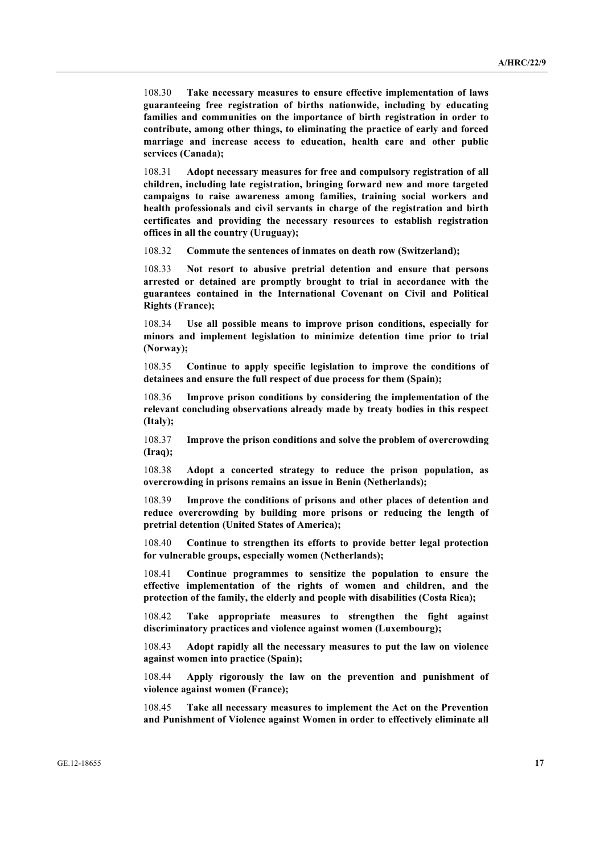108.30 **Take necessary measures to ensure effective implementation of laws guaranteeing free registration of births nationwide, including by educating families and communities on the importance of birth registration in order to contribute, among other things, to eliminating the practice of early and forced marriage and increase access to education, health care and other public services (Canada);**

108.31 **Adopt necessary measures for free and compulsory registration of all children, including late registration, bringing forward new and more targeted campaigns to raise awareness among families, training social workers and health professionals and civil servants in charge of the registration and birth certificates and providing the necessary resources to establish registration offices in all the country (Uruguay);**

108.32 **Commute the sentences of inmates on death row (Switzerland);**

108.33 **Not resort to abusive pretrial detention and ensure that persons arrested or detained are promptly brought to trial in accordance with the guarantees contained in the International Covenant on Civil and Political Rights (France);**

108.34 **Use all possible means to improve prison conditions, especially for minors and implement legislation to minimize detention time prior to trial (Norway);**

108.35 **Continue to apply specific legislation to improve the conditions of detainees and ensure the full respect of due process for them (Spain);**

108.36 **Improve prison conditions by considering the implementation of the relevant concluding observations already made by treaty bodies in this respect (Italy);**

108.37 **Improve the prison conditions and solve the problem of overcrowding (Iraq);**

108.38 **Adopt a concerted strategy to reduce the prison population, as overcrowding in prisons remains an issue in Benin (Netherlands);**

108.39 **Improve the conditions of prisons and other places of detention and reduce overcrowding by building more prisons or reducing the length of pretrial detention (United States of America);**

108.40 **Continue to strengthen its efforts to provide better legal protection for vulnerable groups, especially women (Netherlands);**

108.41 **Continue programmes to sensitize the population to ensure the effective implementation of the rights of women and children, and the protection of the family, the elderly and people with disabilities (Costa Rica);**

108.42 **Take appropriate measures to strengthen the fight against discriminatory practices and violence against women (Luxembourg);**

108.43 **Adopt rapidly all the necessary measures to put the law on violence against women into practice (Spain);**

108.44 **Apply rigorously the law on the prevention and punishment of violence against women (France);**

108.45 **Take all necessary measures to implement the Act on the Prevention and Punishment of Violence against Women in order to effectively eliminate all**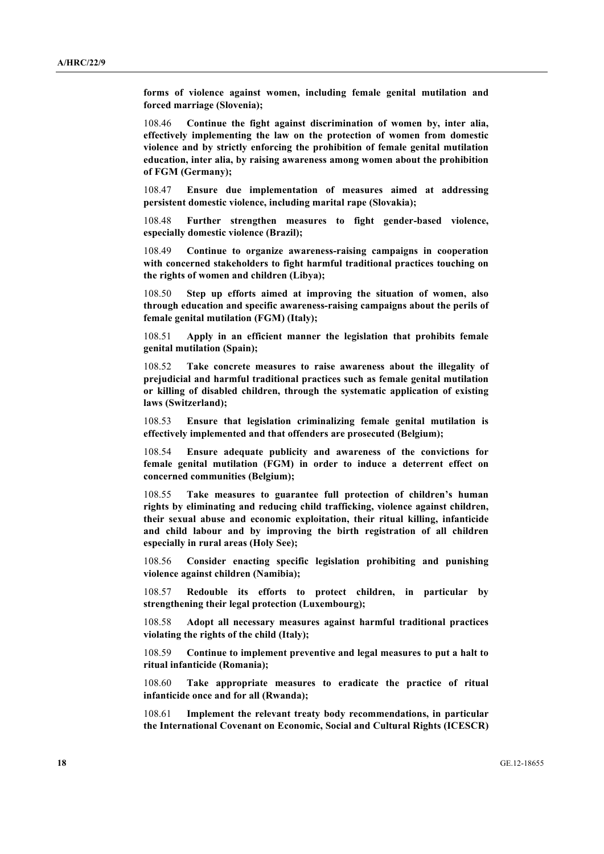**forms of violence against women, including female genital mutilation and forced marriage (Slovenia);**

108.46 **Continue the fight against discrimination of women by, inter alia, effectively implementing the law on the protection of women from domestic violence and by strictly enforcing the prohibition of female genital mutilation education, inter alia, by raising awareness among women about the prohibition of FGM (Germany);**

108.47 **Ensure due implementation of measures aimed at addressing persistent domestic violence, including marital rape (Slovakia);**

108.48 **Further strengthen measures to fight gender-based violence, especially domestic violence (Brazil);**

108.49 **Continue to organize awareness-raising campaigns in cooperation with concerned stakeholders to fight harmful traditional practices touching on the rights of women and children (Libya);**

108.50 **Step up efforts aimed at improving the situation of women, also through education and specific awareness-raising campaigns about the perils of female genital mutilation (FGM) (Italy);**

108.51 **Apply in an efficient manner the legislation that prohibits female genital mutilation (Spain);**

108.52 **Take concrete measures to raise awareness about the illegality of prejudicial and harmful traditional practices such as female genital mutilation or killing of disabled children, through the systematic application of existing laws (Switzerland);**

108.53 **Ensure that legislation criminalizing female genital mutilation is effectively implemented and that offenders are prosecuted (Belgium);**

108.54 **Ensure adequate publicity and awareness of the convictions for female genital mutilation (FGM) in order to induce a deterrent effect on concerned communities (Belgium);**

108.55 **Take measures to guarantee full protection of children's human rights by eliminating and reducing child trafficking, violence against children, their sexual abuse and economic exploitation, their ritual killing, infanticide and child labour and by improving the birth registration of all children especially in rural areas (Holy See);**

108.56 **Consider enacting specific legislation prohibiting and punishing violence against children (Namibia);**

108.57 **Redouble its efforts to protect children, in particular by strengthening their legal protection (Luxembourg);**

108.58 **Adopt all necessary measures against harmful traditional practices violating the rights of the child (Italy);**

108.59 **Continue to implement preventive and legal measures to put a halt to ritual infanticide (Romania);**

108.60 **Take appropriate measures to eradicate the practice of ritual infanticide once and for all (Rwanda);**

108.61 **Implement the relevant treaty body recommendations, in particular the International Covenant on Economic, Social and Cultural Rights (ICESCR)**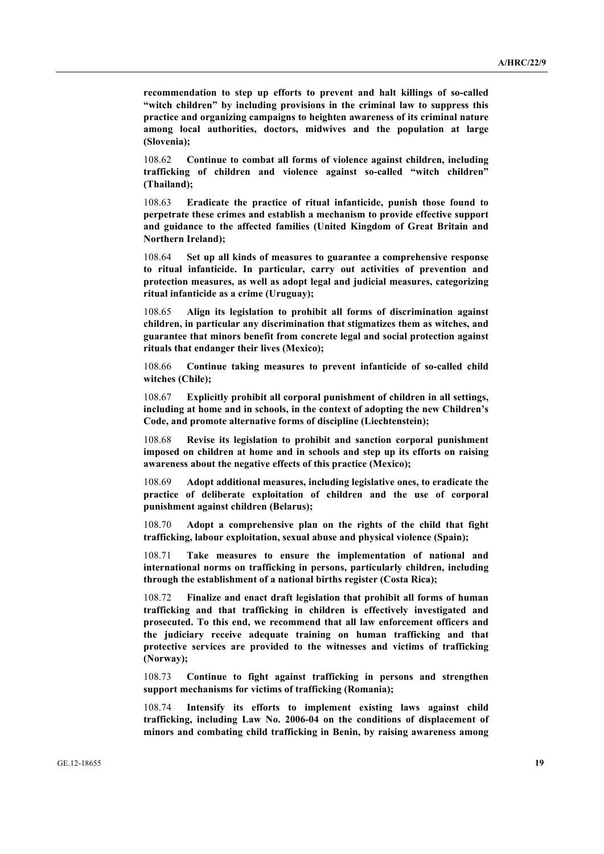**recommendation to step up efforts to prevent and halt killings of so-called "witch children" by including provisions in the criminal law to suppress this practice and organizing campaigns to heighten awareness of its criminal nature among local authorities, doctors, midwives and the population at large (Slovenia);**

108.62 **Continue to combat all forms of violence against children, including trafficking of children and violence against so-called "witch children" (Thailand);**

108.63 **Eradicate the practice of ritual infanticide, punish those found to perpetrate these crimes and establish a mechanism to provide effective support and guidance to the affected families (United Kingdom of Great Britain and Northern Ireland);**

108.64 **Set up all kinds of measures to guarantee a comprehensive response to ritual infanticide. In particular, carry out activities of prevention and protection measures, as well as adopt legal and judicial measures, categorizing ritual infanticide as a crime (Uruguay);**

108.65 **Align its legislation to prohibit all forms of discrimination against children, in particular any discrimination that stigmatizes them as witches, and guarantee that minors benefit from concrete legal and social protection against rituals that endanger their lives (Mexico);**

108.66 **Continue taking measures to prevent infanticide of so-called child witches (Chile);**

108.67 **Explicitly prohibit all corporal punishment of children in all settings, including at home and in schools, in the context of adopting the new Children's Code, and promote alternative forms of discipline (Liechtenstein);**

108.68 **Revise its legislation to prohibit and sanction corporal punishment imposed on children at home and in schools and step up its efforts on raising awareness about the negative effects of this practice (Mexico);**

108.69 **Adopt additional measures, including legislative ones, to eradicate the practice of deliberate exploitation of children and the use of corporal punishment against children (Belarus);**

108.70 **Adopt a comprehensive plan on the rights of the child that fight trafficking, labour exploitation, sexual abuse and physical violence (Spain);**

108.71 **Take measures to ensure the implementation of national and international norms on trafficking in persons, particularly children, including through the establishment of a national births register (Costa Rica);**

108.72 **Finalize and enact draft legislation that prohibit all forms of human trafficking and that trafficking in children is effectively investigated and prosecuted. To this end, we recommend that all law enforcement officers and the judiciary receive adequate training on human trafficking and that protective services are provided to the witnesses and victims of trafficking (Norway);**

108.73 **Continue to fight against trafficking in persons and strengthen support mechanisms for victims of trafficking (Romania);**

108.74 **Intensify its efforts to implement existing laws against child trafficking, including Law No. 2006-04 on the conditions of displacement of minors and combating child trafficking in Benin, by raising awareness among**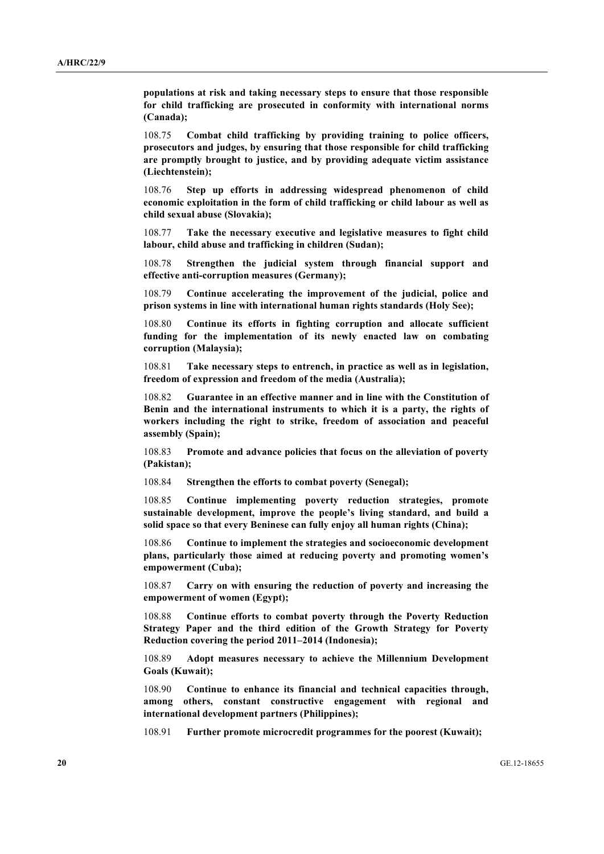**populations at risk and taking necessary steps to ensure that those responsible for child trafficking are prosecuted in conformity with international norms (Canada);**

108.75 **Combat child trafficking by providing training to police officers, prosecutors and judges, by ensuring that those responsible for child trafficking are promptly brought to justice, and by providing adequate victim assistance (Liechtenstein);**

108.76 **Step up efforts in addressing widespread phenomenon of child economic exploitation in the form of child trafficking or child labour as well as child sexual abuse (Slovakia);**

108.77 **Take the necessary executive and legislative measures to fight child labour, child abuse and trafficking in children (Sudan);**

108.78 **Strengthen the judicial system through financial support and effective anti-corruption measures (Germany);**

108.79 **Continue accelerating the improvement of the judicial, police and prison systems in line with international human rights standards (Holy See);**

108.80 **Continue its efforts in fighting corruption and allocate sufficient funding for the implementation of its newly enacted law on combating corruption (Malaysia);**

108.81 **Take necessary steps to entrench, in practice as well as in legislation, freedom of expression and freedom of the media (Australia);**

108.82 **Guarantee in an effective manner and in line with the Constitution of Benin and the international instruments to which it is a party, the rights of workers including the right to strike, freedom of association and peaceful assembly (Spain);**

108.83 **Promote and advance policies that focus on the alleviation of poverty (Pakistan);**

108.84 **Strengthen the efforts to combat poverty (Senegal);**

108.85 **Continue implementing poverty reduction strategies, promote sustainable development, improve the people's living standard, and build a solid space so that every Beninese can fully enjoy all human rights (China);**

108.86 **Continue to implement the strategies and socioeconomic development plans, particularly those aimed at reducing poverty and promoting women's empowerment (Cuba);**

108.87 **Carry on with ensuring the reduction of poverty and increasing the empowerment of women (Egypt);**

108.88 **Continue efforts to combat poverty through the Poverty Reduction Strategy Paper and the third edition of the Growth Strategy for Poverty Reduction covering the period 2011–2014 (Indonesia);**

108.89 **Adopt measures necessary to achieve the Millennium Development Goals (Kuwait);**

108.90 **Continue to enhance its financial and technical capacities through, among others, constant constructive engagement with regional and international development partners (Philippines);**

108.91 **Further promote microcredit programmes for the poorest (Kuwait);**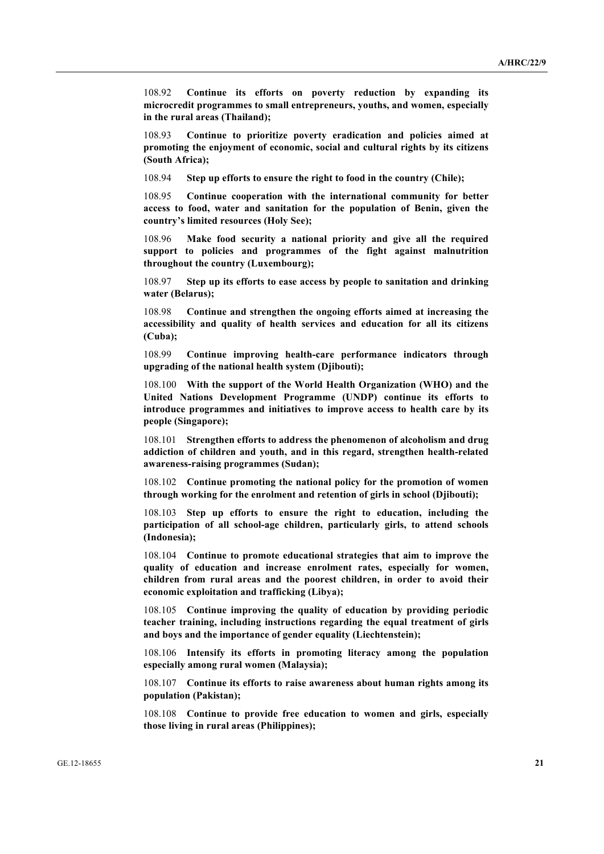108.92 **Continue its efforts on poverty reduction by expanding its microcredit programmes to small entrepreneurs, youths, and women, especially in the rural areas (Thailand);**

108.93 **Continue to prioritize poverty eradication and policies aimed at promoting the enjoyment of economic, social and cultural rights by its citizens (South Africa);**

108.94 **Step up efforts to ensure the right to food in the country (Chile);**

108.95 **Continue cooperation with the international community for better access to food, water and sanitation for the population of Benin, given the country's limited resources (Holy See);**

108.96 **Make food security a national priority and give all the required support to policies and programmes of the fight against malnutrition throughout the country (Luxembourg);**

108.97 **Step up its efforts to ease access by people to sanitation and drinking water (Belarus);**

108.98 **Continue and strengthen the ongoing efforts aimed at increasing the accessibility and quality of health services and education for all its citizens (Cuba);**

108.99 **Continue improving health-care performance indicators through upgrading of the national health system (Djibouti);**

108.100 **With the support of the World Health Organization (WHO) and the United Nations Development Programme (UNDP) continue its efforts to introduce programmes and initiatives to improve access to health care by its people (Singapore);**

108.101 **Strengthen efforts to address the phenomenon of alcoholism and drug addiction of children and youth, and in this regard, strengthen health-related awareness-raising programmes (Sudan);**

108.102 **Continue promoting the national policy for the promotion of women through working for the enrolment and retention of girls in school (Djibouti);**

108.103 **Step up efforts to ensure the right to education, including the participation of all school-age children, particularly girls, to attend schools (Indonesia);**

108.104 **Continue to promote educational strategies that aim to improve the quality of education and increase enrolment rates, especially for women, children from rural areas and the poorest children, in order to avoid their economic exploitation and trafficking (Libya);**

108.105 **Continue improving the quality of education by providing periodic teacher training, including instructions regarding the equal treatment of girls and boys and the importance of gender equality (Liechtenstein);**

108.106 **Intensify its efforts in promoting literacy among the population especially among rural women (Malaysia);**

108.107 **Continue its efforts to raise awareness about human rights among its population (Pakistan);**

108.108 **Continue to provide free education to women and girls, especially those living in rural areas (Philippines);**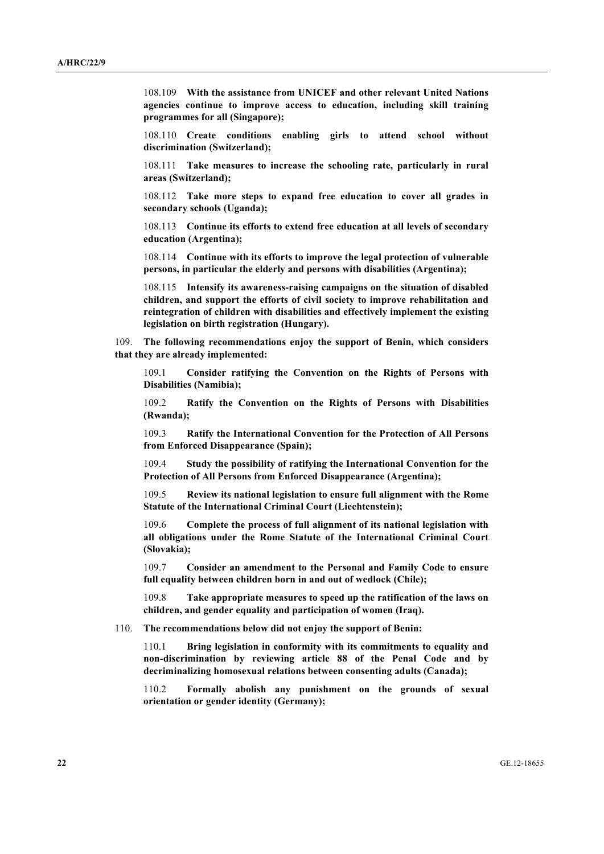108.109 **With the assistance from UNICEF and other relevant United Nations agencies continue to improve access to education, including skill training programmes for all (Singapore);**

108.110 **Create conditions enabling girls to attend school without discrimination (Switzerland);**

108.111 **Take measures to increase the schooling rate, particularly in rural areas (Switzerland);**

108.112 **Take more steps to expand free education to cover all grades in secondary schools (Uganda);**

108.113 **Continue its efforts to extend free education at all levels of secondary education (Argentina);**

108.114 **Continue with its efforts to improve the legal protection of vulnerable persons, in particular the elderly and persons with disabilities (Argentina);**

108.115 **Intensify its awareness-raising campaigns on the situation of disabled children, and support the efforts of civil society to improve rehabilitation and reintegration of children with disabilities and effectively implement the existing legislation on birth registration (Hungary).**

109. **The following recommendations enjoy the support of Benin, which considers that they are already implemented:**

109.1 **Consider ratifying the Convention on the Rights of Persons with Disabilities (Namibia);**

109.2 **Ratify the Convention on the Rights of Persons with Disabilities (Rwanda);**

109.3 **Ratify the International Convention for the Protection of All Persons from Enforced Disappearance (Spain);**

109.4 **Study the possibility of ratifying the International Convention for the Protection of All Persons from Enforced Disappearance (Argentina);**

109.5 **Review its national legislation to ensure full alignment with the Rome Statute of the International Criminal Court (Liechtenstein);**

109.6 **Complete the process of full alignment of its national legislation with all obligations under the Rome Statute of the International Criminal Court (Slovakia);**

109.7 **Consider an amendment to the Personal and Family Code to ensure full equality between children born in and out of wedlock (Chile);**

109.8 **Take appropriate measures to speed up the ratification of the laws on children, and gender equality and participation of women (Iraq).**

110. **The recommendations below did not enjoy the support of Benin:**

110.1 **Bring legislation in conformity with its commitments to equality and non-discrimination by reviewing article 88 of the Penal Code and by decriminalizing homosexual relations between consenting adults (Canada);**

110.2 **Formally abolish any punishment on the grounds of sexual orientation or gender identity (Germany);**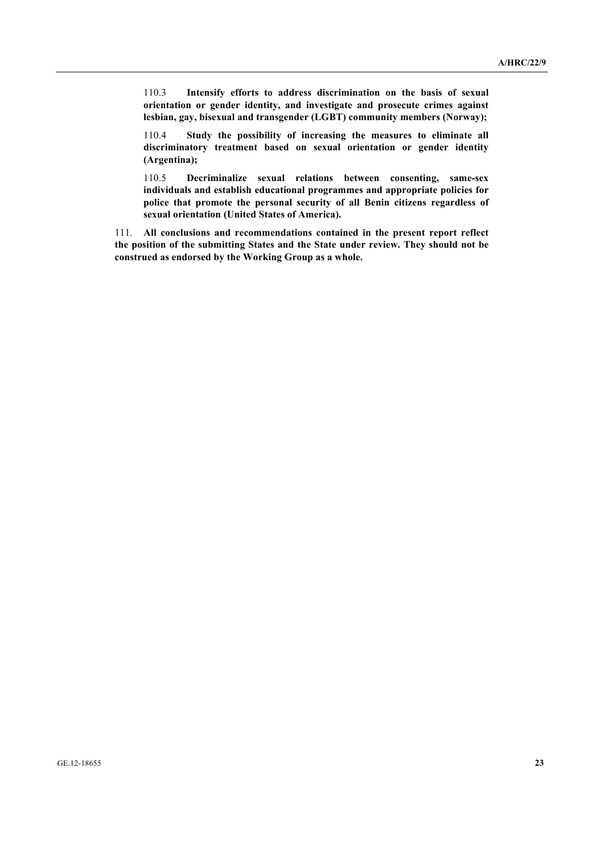110.3 **Intensify efforts to address discrimination on the basis of sexual orientation or gender identity, and investigate and prosecute crimes against lesbian, gay, bisexual and transgender (LGBT) community members (Norway);**

110.4 **Study the possibility of increasing the measures to eliminate all discriminatory treatment based on sexual orientation or gender identity (Argentina);**

110.5 **Decriminalize sexual relations between consenting, same-sex individuals and establish educational programmes and appropriate policies for police that promote the personal security of all Benin citizens regardless of sexual orientation (United States of America).**

111. **All conclusions and recommendations contained in the present report reflect the position of the submitting States and the State under review. They should not be construed as endorsed by the Working Group as a whole.**